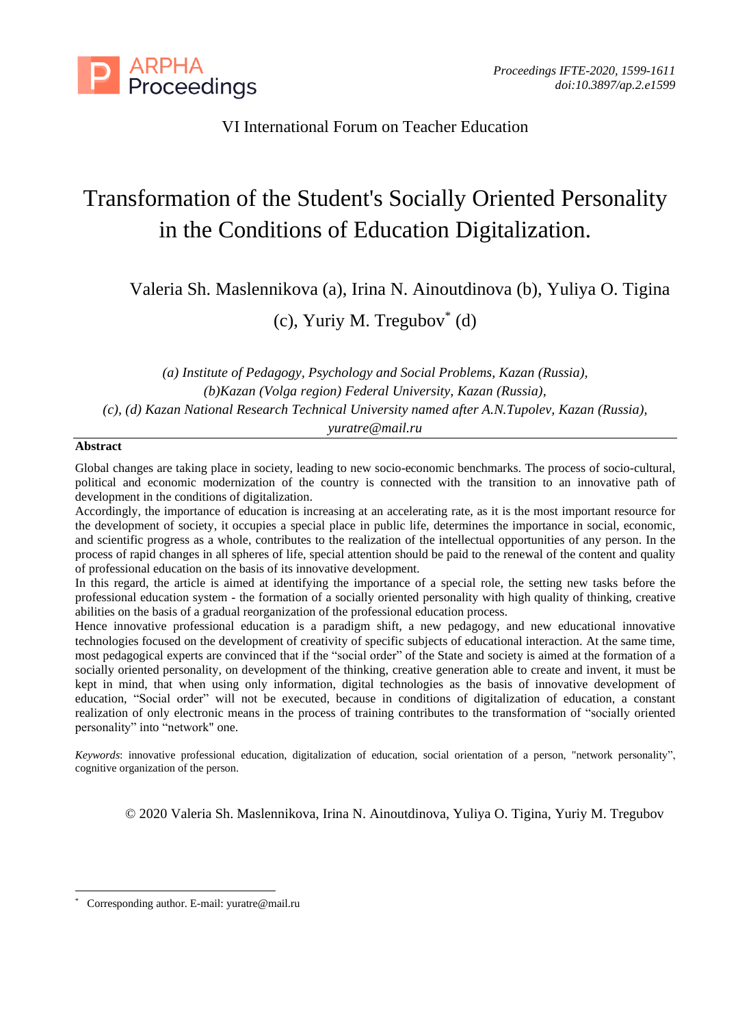

VI International Forum on Teacher Education

# Transformation of the Student's Socially Oriented Personality in the Conditions of Education Digitalization.

Valeria Sh. Maslennikova (a), Irina N. Ainoutdinova (b), Yuliya O. Tigina

(c), Yuriy M. Tregubov\* (d)

*(a) Institute of Pedagogy, Psychology and Social Problems, Kazan (Russia), (b)Kazan (Volga region) Federal University, Kazan (Russia), (c), (d) Kazan National Research Technical University named after A.N.Tupolev, Kazan (Russia), yuratre@mail.ru*

# **Abstract**

Global changes are taking place in society, leading to new socio-economic benchmarks. The process of socio-cultural, political and economic modernization of the country is connected with the transition to an innovative path of development in the conditions of digitalization.

Accordingly, the importance of education is increasing at an accelerating rate, as it is the most important resource for the development of society, it occupies a special place in public life, determines the importance in social, economic, and scientific progress as a whole, contributes to the realization of the intellectual opportunities of any person. In the process of rapid changes in all spheres of life, special attention should be paid to the renewal of the content and quality of professional education on the basis of its innovative development.

In this regard, the article is aimed at identifying the importance of a special role, the setting new tasks before the professional education system - the formation of a socially oriented personality with high quality of thinking, creative abilities on the basis of a gradual reorganization of the professional education process.

Hence innovative professional education is a paradigm shift, a new pedagogy, and new educational innovative technologies focused on the development of creativity of specific subjects of educational interaction. At the same time, most pedagogical experts are convinced that if the "social order" of the State and society is aimed at the formation of a socially oriented personality, on development of the thinking, creative generation able to create and invent, it must be kept in mind, that when using only information, digital technologies as the basis of innovative development of education, "Social order" will not be executed, because in conditions of digitalization of education, a constant realization of only electronic means in the process of training contributes to the transformation of "socially oriented personality" into "network" one.

*Keywords*: innovative professional education, digitalization of education, social orientation of a person, "network personality", cognitive organization of the person.

© 2020 Valeria Sh. Maslennikova, Irina N. Ainoutdinova, Yuliya O. Tigina, Yuriy M. Tregubov

<sup>\*</sup> Corresponding author. E-mail: yuratre@mail.ru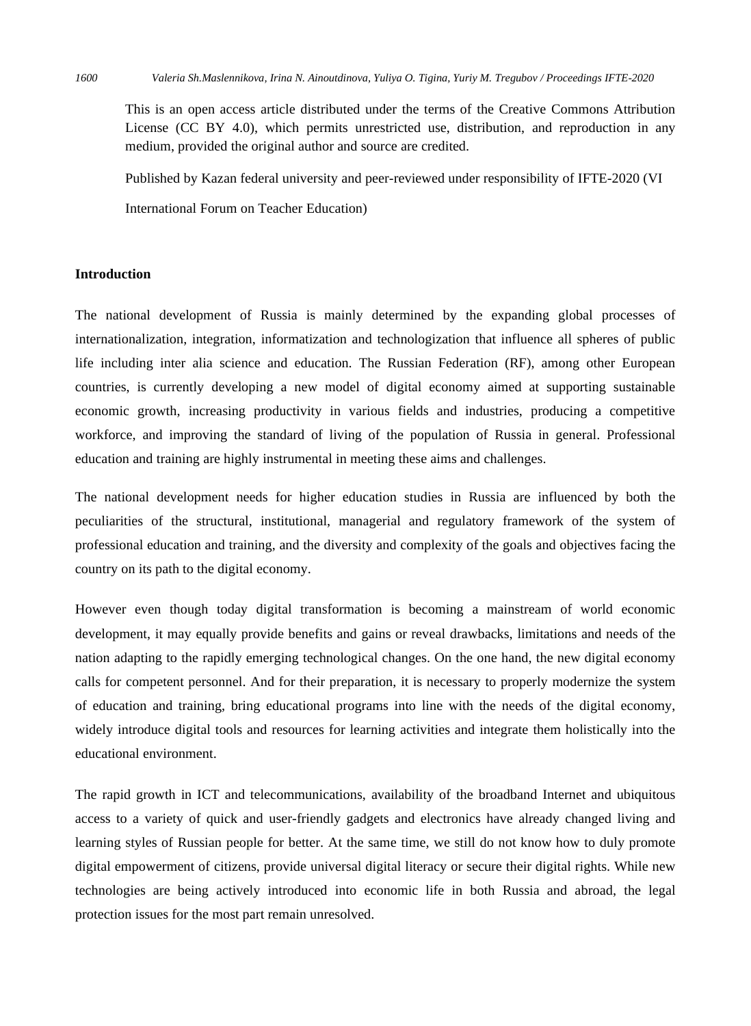This is an open access article distributed under the terms of the Creative Commons Attribution License (CC BY 4.0), which permits unrestricted use, distribution, and reproduction in any medium, provided the original author and source are credited.

Published by Kazan federal university and peer-reviewed under responsibility of IFTE-2020 (VI International Forum on Teacher Education)

### **Introduction**

The national development of Russia is mainly determined by the expanding global processes of internationalization, integration, informatization and technologization that influence all spheres of public life including inter alia science and education. The Russian Federation (RF), among other European countries, is currently developing a new model of digital economy aimed at supporting sustainable economic growth, increasing productivity in various fields and industries, producing a competitive workforce, and improving the standard of living of the population of Russia in general. Professional education and training are highly instrumental in meeting these aims and challenges.

The national development needs for higher education studies in Russia are influenced by both the peculiarities of the structural, institutional, managerial and regulatory framework of the system of professional education and training, and the diversity and complexity of the goals and objectives facing the country on its path to the digital economy.

However even though today digital transformation is becoming a mainstream of world economic development, it may equally provide benefits and gains or reveal drawbacks, limitations and needs of the nation adapting to the rapidly emerging technological changes. On the one hand, the new digital economy calls for competent personnel. And for their preparation, it is necessary to properly modernize the system of education and training, bring educational programs into line with the needs of the digital economy, widely introduce digital tools and resources for learning activities and integrate them holistically into the educational environment.

The rapid growth in ICT and telecommunications, availability of the broadband Internet and ubiquitous access to a variety of quick and user-friendly gadgets and electronics have already changed living and learning styles of Russian people for better. At the same time, we still do not know how to duly promote digital empowerment of citizens, provide universal digital literacy or secure their digital rights. While new technologies are being actively introduced into economic life in both Russia and abroad, the legal protection issues for the most part remain unresolved.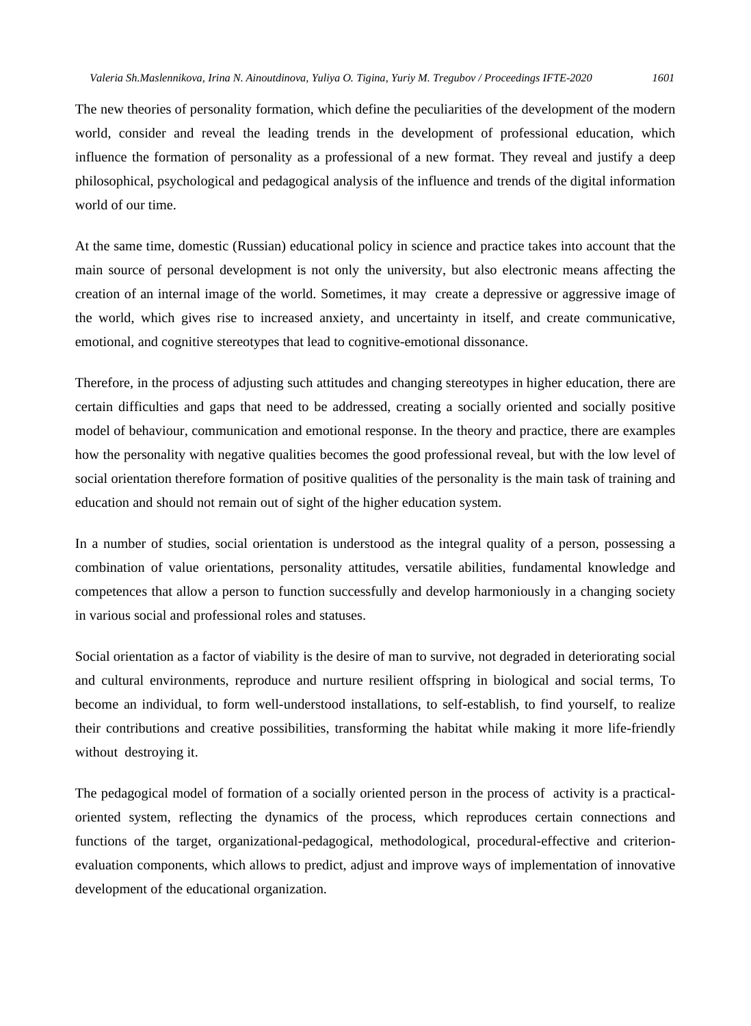The new theories of personality formation, which define the peculiarities of the development of the modern world, consider and reveal the leading trends in the development of professional education, which influence the formation of personality as a professional of a new format. They reveal and justify a deep philosophical, psychological and pedagogical analysis of the influence and trends of the digital information world of our time.

At the same time, domestic (Russian) educational policy in science and practice takes into account that the main source of personal development is not only the university, but also electronic means affecting the creation of an internal image of the world. Sometimes, it may create a depressive or aggressive image of the world, which gives rise to increased anxiety, and uncertainty in itself, and create communicative, emotional, and cognitive stereotypes that lead to cognitive-emotional dissonance.

Therefore, in the process of adjusting such attitudes and changing stereotypes in higher education, there are certain difficulties and gaps that need to be addressed, creating a socially oriented and socially positive model of behaviour, communication and emotional response. In the theory and practice, there are examples how the personality with negative qualities becomes the good professional reveal, but with the low level of social orientation therefore formation of positive qualities of the personality is the main task of training and education and should not remain out of sight of the higher education system.

In a number of studies, social orientation is understood as the integral quality of a person, possessing a combination of value orientations, personality attitudes, versatile abilities, fundamental knowledge and competences that allow a person to function successfully and develop harmoniously in a changing society in various social and professional roles and statuses.

Social orientation as a factor of viability is the desire of man to survive, not degraded in deteriorating social and cultural environments, reproduce and nurture resilient offspring in biological and social terms, To become an individual, to form well-understood installations, to self-establish, to find yourself, to realize their contributions and creative possibilities, transforming the habitat while making it more life-friendly without destroying it.

The pedagogical model of formation of a socially oriented person in the process of activity is a practicaloriented system, reflecting the dynamics of the process, which reproduces certain connections and functions of the target, organizational-pedagogical, methodological, procedural-effective and criterionevaluation components, which allows to predict, adjust and improve ways of implementation of innovative development of the educational organization.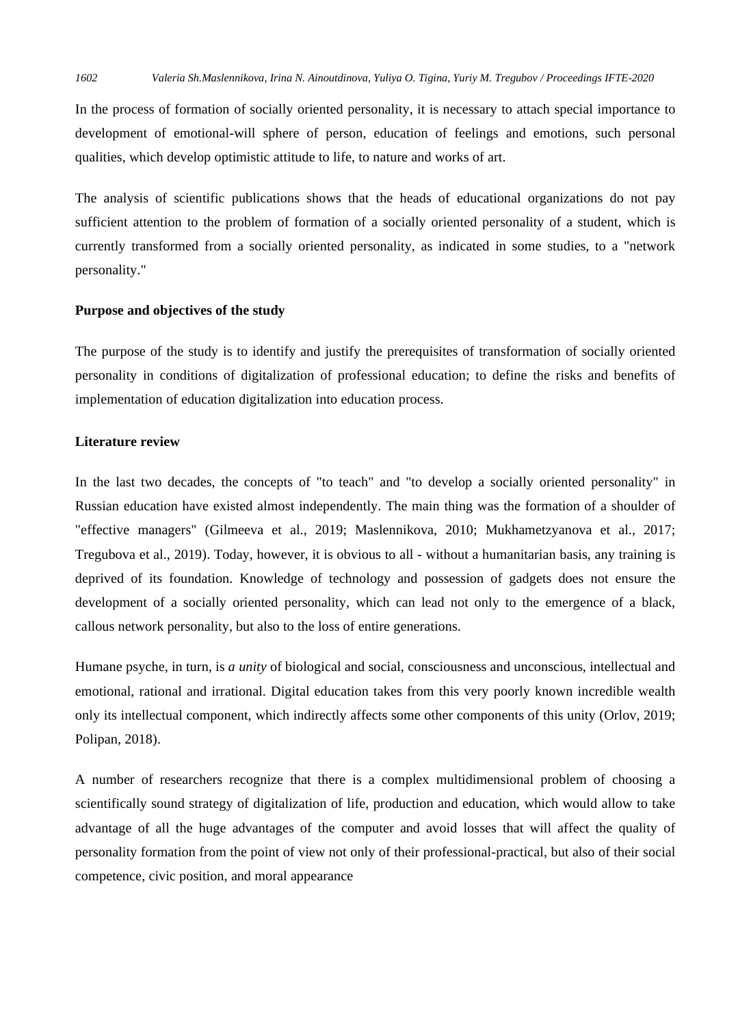In the process of formation of socially oriented personality, it is necessary to attach special importance to development of emotional-will sphere of person, education of feelings and emotions, such personal qualities, which develop optimistic attitude to life, to nature and works of art.

The analysis of scientific publications shows that the heads of educational organizations do not pay sufficient attention to the problem of formation of a socially oriented personality of a student, which is currently transformed from a socially oriented personality, as indicated in some studies, to a "network personality."

## **Purpose and objectives of the study**

The purpose of the study is to identify and justify the prerequisites of transformation of socially oriented personality in conditions of digitalization of professional education; to define the risks and benefits of implementation of education digitalization into education process.

## **Literature review**

In the last two decades, the concepts of "to teach" and "to develop a socially oriented personality" in Russian education have existed almost independently. The main thing was the formation of a shoulder of "effective managers" (Gilmeeva et al., 2019; Maslennikova, 2010; Mukhametzyanova et al., 2017; Tregubova et al., 2019). Today, however, it is obvious to all - without a humanitarian basis, any training is deprived of its foundation. Knowledge of technology and possession of gadgets does not ensure the development of a socially oriented personality, which can lead not only to the emergence of a black, callous network personality, but also to the loss of entire generations.

Humane psyche, in turn, is *a unity* of biological and social, consciousness and unconscious, intellectual and emotional, rational and irrational. Digital education takes from this very poorly known incredible wealth only its intellectual component, which indirectly affects some other components of this unity (Orlov, 2019; Polipan, 2018).

A number of researchers recognize that there is a complex multidimensional problem of choosing a scientifically sound strategy of digitalization of life, production and education, which would allow to take advantage of all the huge advantages of the computer and avoid losses that will affect the quality of personality formation from the point of view not only of their professional-practical, but also of their social competence, civic position, and moral appearance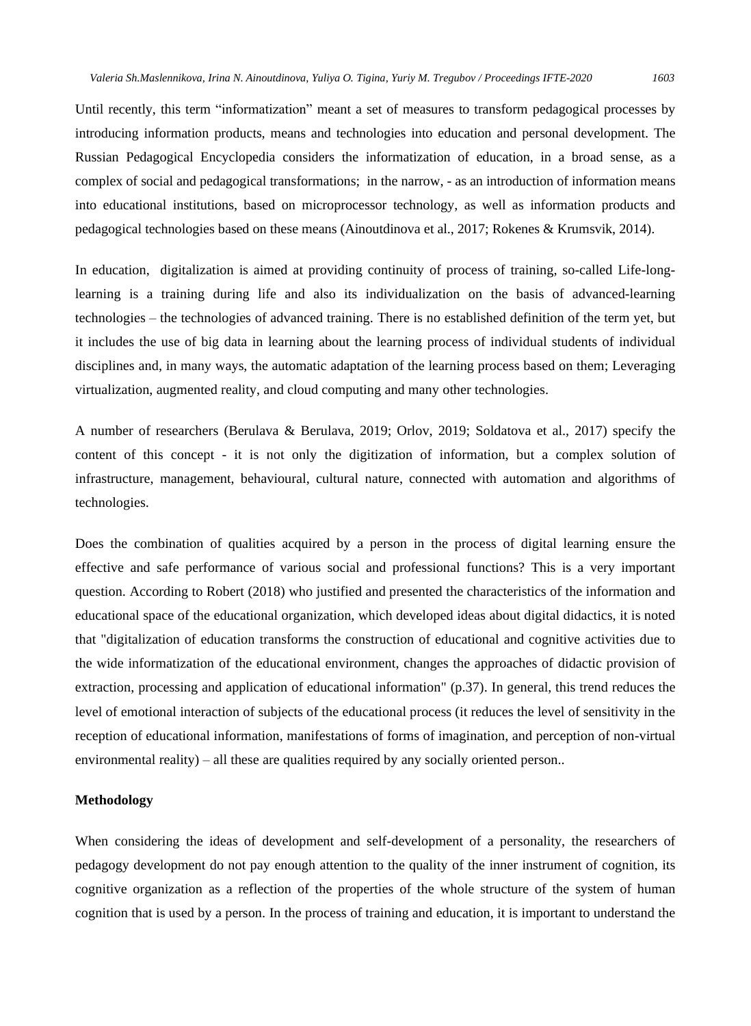Until recently, this term "informatization" meant a set of measures to transform pedagogical processes by introducing information products, means and technologies into education and personal development. The Russian Pedagogical Encyclopedia considers the informatization of education, in a broad sense, as a complex of social and pedagogical transformations; in the narrow, - as an introduction of information means into educational institutions, based on microprocessor technology, as well as information products and pedagogical technologies based on these means (Ainoutdinova et al., 2017; Rokenes & Krumsvik, 2014).

In education, digitalization is aimed at providing continuity of process of training, so-called Life-longlearning is a training during life and also its individualization on the basis of advanced-learning technologies – the technologies of advanced training. There is no established definition of the term yet, but it includes the use of big data in learning about the learning process of individual students of individual disciplines and, in many ways, the automatic adaptation of the learning process based on them; Leveraging virtualization, augmented reality, and cloud computing and many other technologies.

A number of researchers (Berulava & Berulava, 2019; Orlov, 2019; Soldatova et al., 2017) specify the content of this concept - it is not only the digitization of information, but a complex solution of infrastructure, management, behavioural, cultural nature, connected with automation and algorithms of technologies.

Does the combination of qualities acquired by a person in the process of digital learning ensure the effective and safe performance of various social and professional functions? This is a very important question. According to Robert (2018) who justified and presented the characteristics of the information and educational space of the educational organization, which developed ideas about digital didactics, it is noted that "digitalization of education transforms the construction of educational and cognitive activities due to the wide informatization of the educational environment, changes the approaches of didactic provision of extraction, processing and application of educational information" (p.37). In general, this trend reduces the level of emotional interaction of subjects of the educational process (it reduces the level of sensitivity in the reception of educational information, manifestations of forms of imagination, and perception of non-virtual environmental reality) – all these are qualities required by any socially oriented person..

## **Methodology**

When considering the ideas of development and self-development of a personality, the researchers of pedagogy development do not pay enough attention to the quality of the inner instrument of cognition, its cognitive organization as a reflection of the properties of the whole structure of the system of human cognition that is used by a person. In the process of training and education, it is important to understand the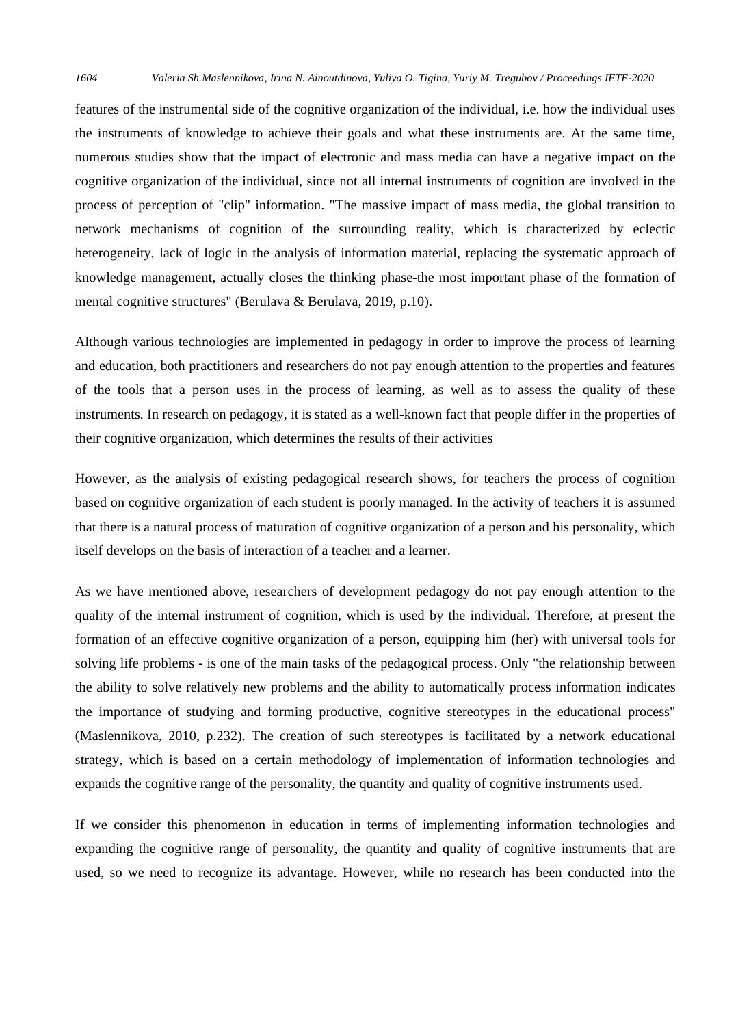features of the instrumental side of the cognitive organization of the individual, i.e. how the individual uses the instruments of knowledge to achieve their goals and what these instruments are. At the same time, numerous studies show that the impact of electronic and mass media can have a negative impact on the cognitive organization of the individual, since not all internal instruments of cognition are involved in the process of perception of "clip" information. "The massive impact of mass media, the global transition to network mechanisms of cognition of the surrounding reality, which is characterized by eclectic heterogeneity, lack of logic in the analysis of information material, replacing the systematic approach of knowledge management, actually closes the thinking phase-the most important phase of the formation of mental cognitive structures" (Berulava & Berulava, 2019, p.10).

Although various technologies are implemented in pedagogy in order to improve the process of learning and education, both practitioners and researchers do not pay enough attention to the properties and features of the tools that a person uses in the process of learning, as well as to assess the quality of these instruments. In research on pedagogy, it is stated as a well-known fact that people differ in the properties of their cognitive organization, which determines the results of their activities

However, as the analysis of existing pedagogical research shows, for teachers the process of cognition based on cognitive organization of each student is poorly managed. In the activity of teachers it is assumed that there is a natural process of maturation of cognitive organization of a person and his personality, which itself develops on the basis of interaction of a teacher and a learner.

As we have mentioned above, researchers of development pedagogy do not pay enough attention to the quality of the internal instrument of cognition, which is used by the individual. Therefore, at present the formation of an effective cognitive organization of a person, equipping him (her) with universal tools for solving life problems - is one of the main tasks of the pedagogical process. Only "the relationship between the ability to solve relatively new problems and the ability to automatically process information indicates the importance of studying and forming productive, cognitive stereotypes in the educational process" (Maslennikova, 2010, p.232). The creation of such stereotypes is facilitated by a network educational strategy, which is based on a certain methodology of implementation of information technologies and expands the cognitive range of the personality, the quantity and quality of cognitive instruments used.

If we consider this phenomenon in education in terms of implementing information technologies and expanding the cognitive range of personality, the quantity and quality of cognitive instruments that are used, so we need to recognize its advantage. However, while no research has been conducted into the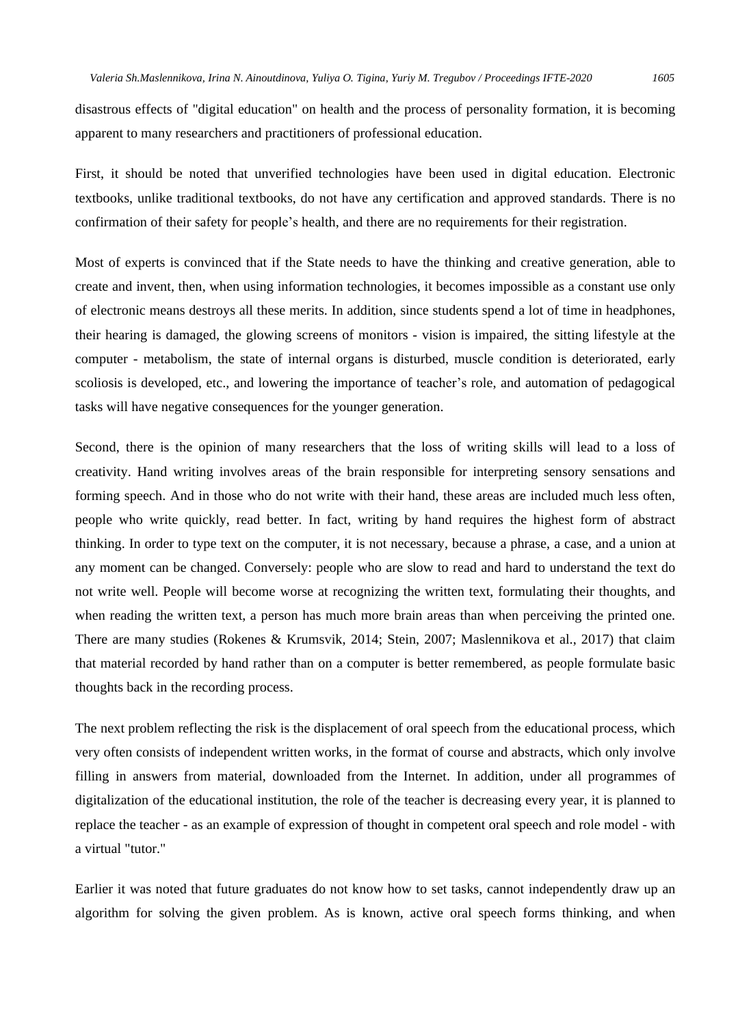disastrous effects of "digital education" on health and the process of personality formation, it is becoming apparent to many researchers and practitioners of professional education.

First, it should be noted that unverified technologies have been used in digital education. Electronic textbooks, unlike traditional textbooks, do not have any certification and approved standards. There is no confirmation of their safety for people's health, and there are no requirements for their registration.

Most of experts is convinced that if the State needs to have the thinking and creative generation, able to create and invent, then, when using information technologies, it becomes impossible as a constant use only of electronic means destroys all these merits. In addition, since students spend a lot of time in headphones, their hearing is damaged, the glowing screens of monitors - vision is impaired, the sitting lifestyle at the computer - metabolism, the state of internal organs is disturbed, muscle condition is deteriorated, early scoliosis is developed, etc., and lowering the importance of teacher's role, and automation of pedagogical tasks will have negative consequences for the younger generation.

Second, there is the opinion of many researchers that the loss of writing skills will lead to a loss of creativity. Hand writing involves areas of the brain responsible for interpreting sensory sensations and forming speech. And in those who do not write with their hand, these areas are included much less often, people who write quickly, read better. In fact, writing by hand requires the highest form of abstract thinking. In order to type text on the computer, it is not necessary, because a phrase, a case, and a union at any moment can be changed. Conversely: people who are slow to read and hard to understand the text do not write well. People will become worse at recognizing the written text, formulating their thoughts, and when reading the written text, a person has much more brain areas than when perceiving the printed one. There are many studies (Rokenes & Krumsvik, 2014; Stein, 2007; Maslennikova et al., 2017) that claim that material recorded by hand rather than on a computer is better remembered, as people formulate basic thoughts back in the recording process.

The next problem reflecting the risk is the displacement of oral speech from the educational process, which very often consists of independent written works, in the format of course and abstracts, which only involve filling in answers from material, downloaded from the Internet. In addition, under all programmes of digitalization of the educational institution, the role of the teacher is decreasing every year, it is planned to replace the teacher - as an example of expression of thought in competent oral speech and role model - with a virtual "tutor."

Earlier it was noted that future graduates do not know how to set tasks, cannot independently draw up an algorithm for solving the given problem. As is known, active oral speech forms thinking, and when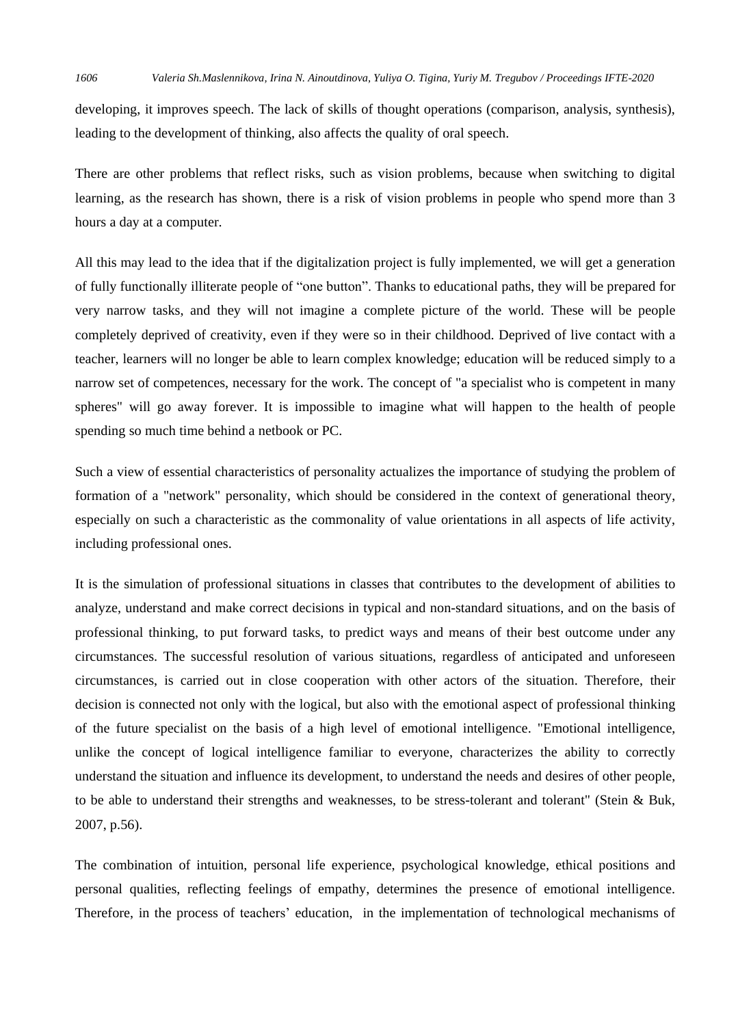developing, it improves speech. The lack of skills of thought operations (comparison, analysis, synthesis), leading to the development of thinking, also affects the quality of oral speech.

There are other problems that reflect risks, such as vision problems, because when switching to digital learning, as the research has shown, there is a risk of vision problems in people who spend more than 3 hours a day at a computer.

All this may lead to the idea that if the digitalization project is fully implemented, we will get a generation of fully functionally illiterate people of "one button". Thanks to educational paths, they will be prepared for very narrow tasks, and they will not imagine a complete picture of the world. These will be people completely deprived of creativity, even if they were so in their childhood. Deprived of live contact with a teacher, learners will no longer be able to learn complex knowledge; education will be reduced simply to a narrow set of competences, necessary for the work. The concept of "a specialist who is competent in many spheres" will go away forever. It is impossible to imagine what will happen to the health of people spending so much time behind a netbook or PC.

Such a view of essential characteristics of personality actualizes the importance of studying the problem of formation of a "network" personality, which should be considered in the context of generational theory, especially on such a characteristic as the commonality of value orientations in all aspects of life activity, including professional ones.

It is the simulation of professional situations in classes that contributes to the development of abilities to analyze, understand and make correct decisions in typical and non-standard situations, and on the basis of professional thinking, to put forward tasks, to predict ways and means of their best outcome under any circumstances. The successful resolution of various situations, regardless of anticipated and unforeseen circumstances, is carried out in close cooperation with other actors of the situation. Therefore, their decision is connected not only with the logical, but also with the emotional aspect of professional thinking of the future specialist on the basis of a high level of emotional intelligence. "Emotional intelligence, unlike the concept of logical intelligence familiar to everyone, characterizes the ability to correctly understand the situation and influence its development, to understand the needs and desires of other people, to be able to understand their strengths and weaknesses, to be stress-tolerant and tolerant" (Stein & Buk, 2007, p.56).

The combination of intuition, personal life experience, psychological knowledge, ethical positions and personal qualities, reflecting feelings of empathy, determines the presence of emotional intelligence. Therefore, in the process of teachers' education, in the implementation of technological mechanisms of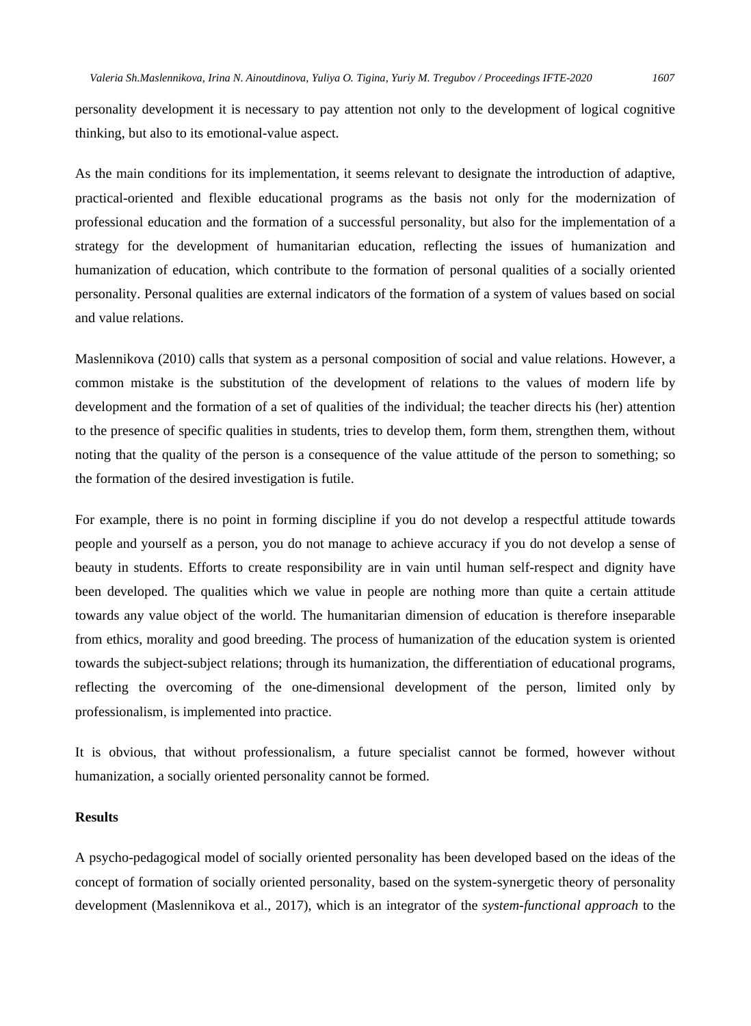personality development it is necessary to pay attention not only to the development of logical cognitive thinking, but also to its emotional-value aspect.

As the main conditions for its implementation, it seems relevant to designate the introduction of adaptive, practical-oriented and flexible educational programs as the basis not only for the modernization of professional education and the formation of a successful personality, but also for the implementation of a strategy for the development of humanitarian education, reflecting the issues of humanization and humanization of education, which contribute to the formation of personal qualities of a socially oriented personality. Personal qualities are external indicators of the formation of a system of values based on social and value relations.

Maslennikova (2010) calls that system as a personal composition of social and value relations. However, a common mistake is the substitution of the development of relations to the values of modern life by development and the formation of a set of qualities of the individual; the teacher directs his (her) attention to the presence of specific qualities in students, tries to develop them, form them, strengthen them, without noting that the quality of the person is a consequence of the value attitude of the person to something; so the formation of the desired investigation is futile.

For example, there is no point in forming discipline if you do not develop a respectful attitude towards people and yourself as a person, you do not manage to achieve accuracy if you do not develop a sense of beauty in students. Efforts to create responsibility are in vain until human self-respect and dignity have been developed. The qualities which we value in people are nothing more than quite a certain attitude towards any value object of the world. The humanitarian dimension of education is therefore inseparable from ethics, morality and good breeding. The process of humanization of the education system is oriented towards the subject-subject relations; through its humanization, the differentiation of educational programs, reflecting the overcoming of the one-dimensional development of the person, limited only by professionalism, is implemented into practice.

It is obvious, that without professionalism, a future specialist cannot be formed, however without humanization, a socially oriented personality cannot be formed.

# **Results**

A psycho-pedagogical model of socially oriented personality has been developed based on the ideas of the concept of formation of socially oriented personality, based on the system-synergetic theory of personality development (Maslennikova et al., 2017), which is an integrator of the *system-functional approach* to the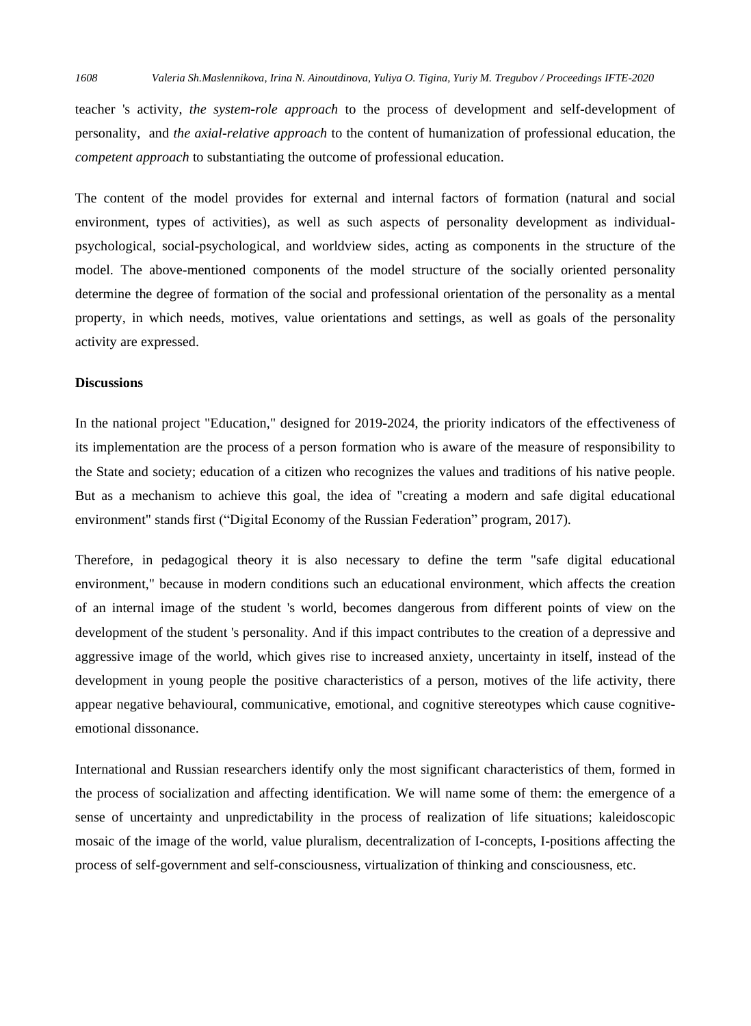teacher 's activity, *the system-role approach* to the process of development and self-development of personality, and *the axial-relative approach* to the content of humanization of professional education, the *competent approach* to substantiating the outcome of professional education.

The content of the model provides for external and internal factors of formation (natural and social environment, types of activities), as well as such aspects of personality development as individualpsychological, social-psychological, and worldview sides, acting as components in the structure of the model. The above-mentioned components of the model structure of the socially oriented personality determine the degree of formation of the social and professional orientation of the personality as a mental property, in which needs, motives, value orientations and settings, as well as goals of the personality activity are expressed.

#### **Discussions**

In the national project "Education," designed for 2019-2024, the priority indicators of the effectiveness of its implementation are the process of a person formation who is aware of the measure of responsibility to the State and society; education of a citizen who recognizes the values and traditions of his native people. But as a mechanism to achieve this goal, the idea of "creating a modern and safe digital educational environment" stands first ("Digital Economy of the Russian Federation" program, 2017).

Therefore, in pedagogical theory it is also necessary to define the term "safe digital educational environment," because in modern conditions such an educational environment, which affects the creation of an internal image of the student 's world, becomes dangerous from different points of view on the development of the student 's personality. And if this impact contributes to the creation of a depressive and aggressive image of the world, which gives rise to increased anxiety, uncertainty in itself, instead of the development in young people the positive characteristics of a person, motives of the life activity, there appear negative behavioural, communicative, emotional, and cognitive stereotypes which cause cognitiveemotional dissonance.

International and Russian researchers identify only the most significant characteristics of them, formed in the process of socialization and affecting identification. We will name some of them: the emergence of a sense of uncertainty and unpredictability in the process of realization of life situations; kaleidoscopic mosaic of the image of the world, value pluralism, decentralization of I-concepts, I-positions affecting the process of self-government and self-consciousness, virtualization of thinking and consciousness, etc.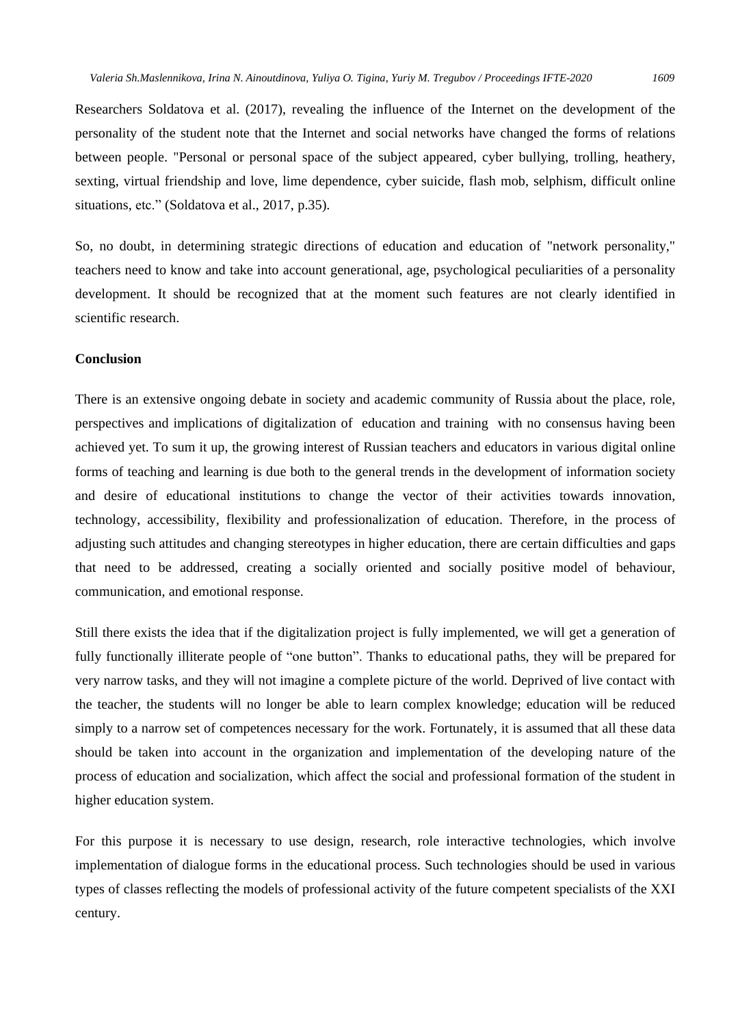Researchers Soldatova et al. (2017), revealing the influence of the Internet on the development of the personality of the student note that the Internet and social networks have changed the forms of relations between people. "Personal or personal space of the subject appeared, cyber bullying, trolling, heathery, sexting, virtual friendship and love, lime dependence, cyber suicide, flash mob, selphism, difficult online situations, etc." (Soldatova et al., 2017, p.35).

So, no doubt, in determining strategic directions of education and education of "network personality," teachers need to know and take into account generational, age, psychological peculiarities of a personality development. It should be recognized that at the moment such features are not clearly identified in scientific research.

#### **Conclusion**

There is an extensive ongoing debate in society and academic community of Russia about the place, role, perspectives and implications of digitalization of education and training with no consensus having been achieved yet. To sum it up, the growing interest of Russian teachers and educators in various digital online forms of teaching and learning is due both to the general trends in the development of information society and desire of educational institutions to change the vector of their activities towards innovation, technology, accessibility, flexibility and professionalization of education. Therefore, in the process of adjusting such attitudes and changing stereotypes in higher education, there are certain difficulties and gaps that need to be addressed, creating a socially oriented and socially positive model of behaviour, communication, and emotional response.

Still there exists the idea that if the digitalization project is fully implemented, we will get a generation of fully functionally illiterate people of "one button". Thanks to educational paths, they will be prepared for very narrow tasks, and they will not imagine a complete picture of the world. Deprived of live contact with the teacher, the students will no longer be able to learn complex knowledge; education will be reduced simply to a narrow set of competences necessary for the work. Fortunately, it is assumed that all these data should be taken into account in the organization and implementation of the developing nature of the process of education and socialization, which affect the social and professional formation of the student in higher education system.

For this purpose it is necessary to use design, research, role interactive technologies, which involve implementation of dialogue forms in the educational process. Such technologies should be used in various types of classes reflecting the models of professional activity of the future competent specialists of the XXI century.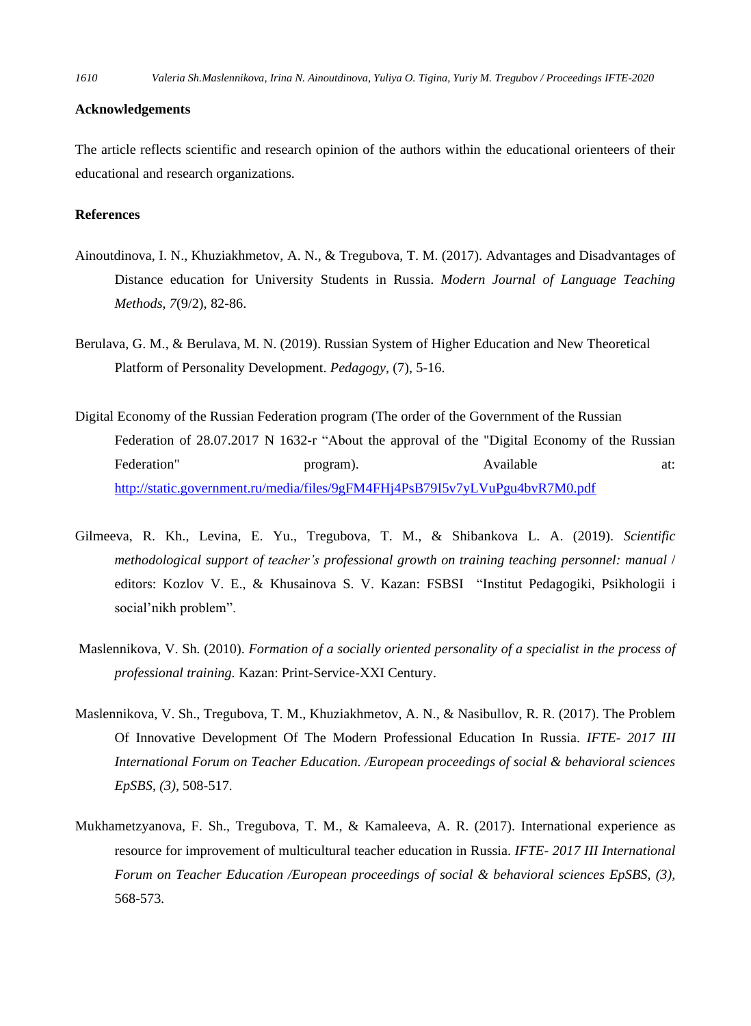## **Acknowledgements**

The article reflects scientific and research opinion of the authors within the educational orienteers of their educational and research organizations.

# **References**

- Ainoutdinova, I. N., Khuziakhmetov, A. N., & Tregubova, T. M. (2017). Advantages and Disadvantages of Distance education for University Students in Russia. *Modern Journal of Language Teaching Methods*, *7*(9/2), 82-86.
- Berulava, G. M., & Berulava, M. N. (2019). Russian System of Higher Education and New Theoretical Platform of Personality Development. *Pedagogy,* (7), 5-16.
- Digital Economy of the Russian Federation program (The order of the Government of the Russian Federation of 28.07.2017 N 1632-r "About the approval of the "Digital Economy of the Russian Federation" program). Available at: <http://static.government.ru/media/files/9gFM4FHj4PsB79I5v7yLVuPgu4bvR7M0.pdf>
- Gilmeeva, R. Kh., Levina, E. Yu., Tregubova, T. M., & Shibankova L. A. (2019). *Scientific methodological support of teacher's professional growth on training teaching personnel: manual* / editors: Kozlov V. E., & Khusainova S. V. Kazan: FSBSI "Institut Pedagogiki, Psikhologii i social'nikh problem".
- Maslennikova, V. Sh*.* (2010). *Formation of a socially oriented personality of a specialist in the process of professional training.* Kazan: Print-Service-ХХI Century.
- Maslennikova, V. Sh., Tregubova, T. M., Khuziakhmetov, A. N., & Nasibullov, R. R. (2017). The Problem Of Innovative Development Of The Modern Professional Education In Russia. *IFTE- 2017 III International Forum on Teacher Education. /European proceedings of social & behavioral sciences EpSBS, (3),* 508-517*.*
- Mukhametzyanova, F. Sh., Tregubova, T. M., & Kamaleeva, A. R. (2017). International experience as resource for improvement of multicultural teacher education in Russia. *IFTE- 2017 III International Forum on Teacher Education /European proceedings of social & behavioral sciences EpSBS, (3),* 568-573*.*